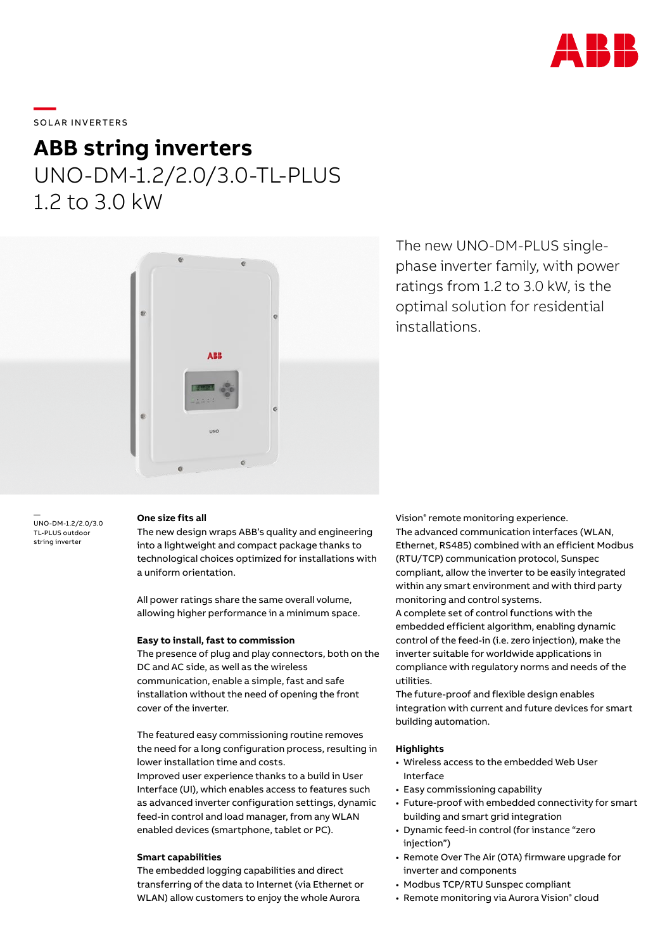

# \_\_\_\_\_<br>SOLAR INVERTERS

# **ABB string inverters** UNO-DM-1.2/2.0/3.0-TL-PLUS 1.2 to 3.0 kW



The new UNO-DM-PLUS singlephase inverter family, with power ratings from 1.2 to 3.0 kW, is the optimal solution for residential installations.

— UNO-DM-1.2/2.0/3.0 TL-PLUS outdoor string inverter

### **One size fits all**

The new design wraps ABB's quality and engineering into a lightweight and compact package thanks to technological choices optimized for installations with a uniform orientation.

All power ratings share the same overall volume, allowing higher performance in a minimum space.

### **Easy to install, fast to commission**

The presence of plug and play connectors, both on the DC and AC side, as well as the wireless communication, enable a simple, fast and safe installation without the need of opening the front cover of the inverter.

The featured easy commissioning routine removes the need for a long configuration process, resulting in lower installation time and costs.

Improved user experience thanks to a build in User Interface (UI), which enables access to features such as advanced inverter configuration settings, dynamic feed-in control and load manager, from any WLAN enabled devices (smartphone, tablet or PC).

# **Smart capabilities**

The embedded logging capabilities and direct transferring of the data to Internet (via Ethernet or WLAN) allow customers to enjoy the whole Aurora

Vision® remote monitoring experience. The advanced communication interfaces (WLAN, Ethernet, RS485) combined with an efficient Modbus (RTU/TCP) communication protocol, Sunspec compliant, allow the inverter to be easily integrated within any smart environment and with third party monitoring and control systems.

A complete set of control functions with the embedded efficient algorithm, enabling dynamic control of the feed-in (i.e. zero injection), make the inverter suitable for worldwide applications in compliance with regulatory norms and needs of the utilities.

The future-proof and flexible design enables integration with current and future devices for smart building automation.

## **Highlights**

- Wireless access to the embedded Web User Interface
- Easy commissioning capability
- Future-proof with embedded connectivity for smart building and smart grid integration
- Dynamic feed-in control (for instance "zero injection")
- Remote Over The Air (OTA) firmware upgrade for inverter and components
- Modbus TCP/RTU Sunspec compliant
- Remote monitoring via Aurora Vision® cloud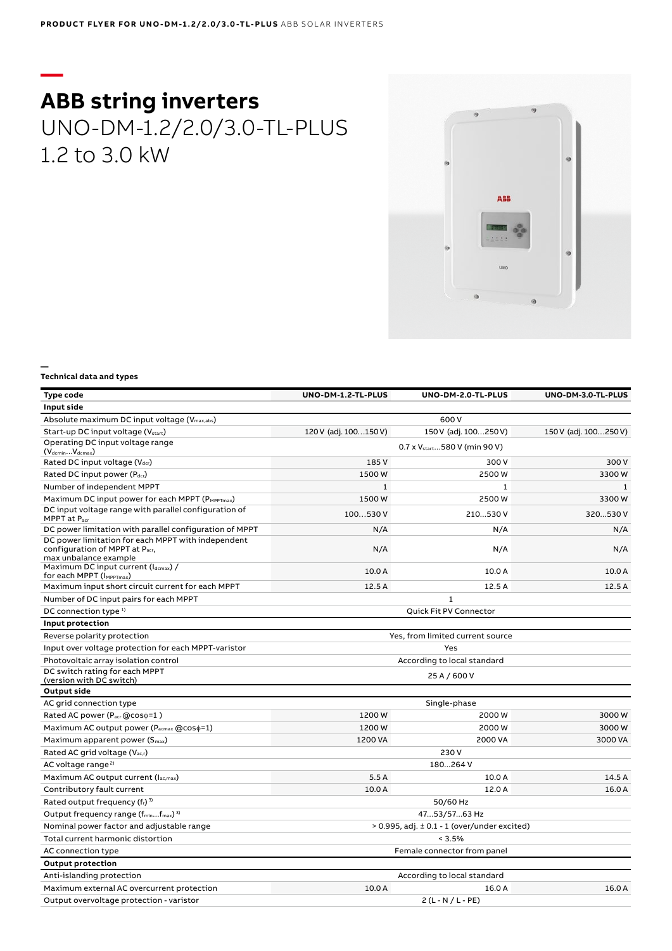# **— ABB string inverters** UNO-DM-1.2/2.0/3.0-TL-PLUS 1.2 to 3.0 kW



#### **Technical data and types**

**—**

| Type code                                                                                                     | UNO-DM-1.2-TL-PLUS                                  | UNO-DM-2.0-TL-PLUS               | UNO-DM-3.0-TL-PLUS    |
|---------------------------------------------------------------------------------------------------------------|-----------------------------------------------------|----------------------------------|-----------------------|
| Input side                                                                                                    |                                                     |                                  |                       |
| Absolute maximum DC input voltage (Vmax,abs)                                                                  |                                                     | 600 V                            |                       |
| Start-up DC input voltage (V <sub>start</sub> )                                                               | 120 V (adj. 100150 V)                               | 150 V (adj. 100250 V)            | 150 V (adj. 100250 V) |
| Operating DC input voltage range<br>(V <sub>dcminV<sub>dcmax</sub>)</sub>                                     | 0.7 x V <sub>start</sub> 580 V (min 90 V)           |                                  |                       |
| Rated DC input voltage (Vdcr)                                                                                 | 185V                                                | 300 V                            | 300 V                 |
| Rated DC input power (Pdcr)                                                                                   | 1500W                                               | 2500W                            | 3300W                 |
| Number of independent MPPT                                                                                    | $\mathbf{1}$                                        | $\mathbf{1}$                     | $\mathbf{1}$          |
| Maximum DC input power for each MPPT (PMPPTmax)                                                               | 1500W                                               | 2500W                            | 3300W                 |
| DC input voltage range with parallel configuration of<br>MPPT at Pacr                                         | 100530 V                                            | 210530 V                         | 320530 V              |
| DC power limitation with parallel configuration of MPPT                                                       | N/A                                                 | N/A                              | N/A                   |
| DC power limitation for each MPPT with independent<br>configuration of MPPT at Pacr,<br>max unbalance example | N/A                                                 | N/A                              | N/A                   |
| Maximum DC input current (Idcmax) /                                                                           |                                                     |                                  |                       |
| for each MPPT (IMPPTmax)                                                                                      | 10.0 A                                              | 10.0 A                           | 10.0 A                |
| Maximum input short circuit current for each MPPT                                                             | 12.5A                                               | 12.5 A                           | 12.5A                 |
| Number of DC input pairs for each MPPT                                                                        |                                                     | $\mathbf{1}$                     |                       |
| DC connection type <sup>1)</sup>                                                                              |                                                     | Quick Fit PV Connector           |                       |
| Input protection                                                                                              |                                                     |                                  |                       |
| Reverse polarity protection                                                                                   |                                                     | Yes, from limited current source |                       |
| Input over voltage protection for each MPPT-varistor                                                          | Yes                                                 |                                  |                       |
| Photovoltaic array isolation control                                                                          | According to local standard                         |                                  |                       |
| DC switch rating for each MPPT<br>(version with DC switch)                                                    | 25 A / 600 V                                        |                                  |                       |
| Output side                                                                                                   |                                                     |                                  |                       |
| AC grid connection type                                                                                       | Single-phase                                        |                                  |                       |
| Rated AC power (P <sub>acr</sub> @cos $\phi$ =1)                                                              | 1200W                                               | 2000W                            | 3000W                 |
| Maximum AC output power (Pacmax @coso=1)                                                                      | 1200W                                               | 2000W                            | 3000W                 |
| Maximum apparent power (S <sub>max</sub> )                                                                    | 1200 VA                                             | 2000 VA                          | 3000 VA               |
| Rated AC grid voltage (Vac,r)                                                                                 | 230V                                                |                                  |                       |
| AC voltage range <sup>2)</sup>                                                                                | 180264 V                                            |                                  |                       |
| Maximum AC output current (lac,max)                                                                           | 5.5A                                                | 10.0 A                           | 14.5 A                |
| Contributory fault current                                                                                    | 10.0 A                                              | 12.0 A                           | 16.0 A                |
| Rated output frequency $(f_r)^{3}$                                                                            | 50/60 Hz                                            |                                  |                       |
| Output frequency range (f <sub>min</sub> f <sub>max</sub> ) <sup>3)</sup>                                     | 4753/5763 Hz                                        |                                  |                       |
| Nominal power factor and adjustable range                                                                     | $> 0.995$ , adj. $\pm 0.1 - 1$ (over/under excited) |                                  |                       |
| Total current harmonic distortion                                                                             | < 3.5%                                              |                                  |                       |
| AC connection type                                                                                            | Female connector from panel                         |                                  |                       |
| <b>Output protection</b>                                                                                      |                                                     |                                  |                       |
| Anti-islanding protection                                                                                     | According to local standard                         |                                  |                       |
| Maximum external AC overcurrent protection                                                                    | 10.0 A                                              | 16.0 A                           | 16.0 A                |
| Output overvoltage protection - varistor                                                                      |                                                     | $2(L - N / L - PE)$              |                       |
|                                                                                                               |                                                     |                                  |                       |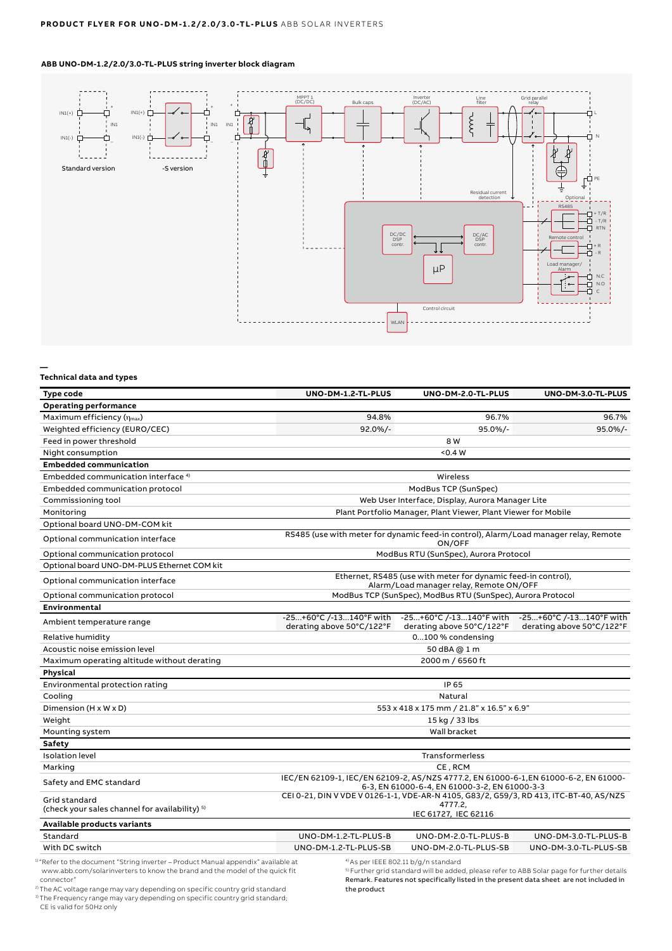# **ABB UNO-DM-1.2/2.0/3.0-TL-PLUS string inverter block diagram**



### **—**

#### **Technical data and types**

| Type code                                                                                                                                                                    | UNO-DM-1.2-TL-PLUS                                   | UNO-DM-2.0-TL-PLUS                                                                                                                                                                                                                                  | UNO-DM-3.0-TL-PLUS                                   |  |
|------------------------------------------------------------------------------------------------------------------------------------------------------------------------------|------------------------------------------------------|-----------------------------------------------------------------------------------------------------------------------------------------------------------------------------------------------------------------------------------------------------|------------------------------------------------------|--|
| <b>Operating performance</b>                                                                                                                                                 |                                                      |                                                                                                                                                                                                                                                     |                                                      |  |
| Maximum efficiency (nmax)                                                                                                                                                    | 94.8%                                                | 96.7%                                                                                                                                                                                                                                               | 96.7%                                                |  |
| Weighted efficiency (EURO/CEC)                                                                                                                                               | $92.0\%/$ -                                          | 95.0%/-                                                                                                                                                                                                                                             | 95.0%/-                                              |  |
| Feed in power threshold                                                                                                                                                      |                                                      | 8 W                                                                                                                                                                                                                                                 |                                                      |  |
| Night consumption                                                                                                                                                            |                                                      | 0.4 W                                                                                                                                                                                                                                               |                                                      |  |
| <b>Embedded communication</b>                                                                                                                                                |                                                      |                                                                                                                                                                                                                                                     |                                                      |  |
| Embedded communication interface <sup>4)</sup>                                                                                                                               |                                                      | Wireless                                                                                                                                                                                                                                            |                                                      |  |
| Embedded communication protocol                                                                                                                                              |                                                      | ModBus TCP (SunSpec)                                                                                                                                                                                                                                |                                                      |  |
| Commissioning tool                                                                                                                                                           |                                                      | Web User Interface, Display, Aurora Manager Lite                                                                                                                                                                                                    |                                                      |  |
| Monitoring                                                                                                                                                                   |                                                      | Plant Portfolio Manager, Plant Viewer, Plant Viewer for Mobile                                                                                                                                                                                      |                                                      |  |
| Optional board UNO-DM-COM kit                                                                                                                                                |                                                      |                                                                                                                                                                                                                                                     |                                                      |  |
| Optional communication interface                                                                                                                                             |                                                      | RS485 (use with meter for dynamic feed-in control), Alarm/Load manager relay, Remote<br>ON/OFF                                                                                                                                                      |                                                      |  |
| Optional communication protocol                                                                                                                                              |                                                      | ModBus RTU (SunSpec), Aurora Protocol                                                                                                                                                                                                               |                                                      |  |
| Optional board UNO-DM-PLUS Ethernet COM kit                                                                                                                                  |                                                      |                                                                                                                                                                                                                                                     |                                                      |  |
| Optional communication interface                                                                                                                                             |                                                      | Ethernet, RS485 (use with meter for dynamic feed-in control),<br>Alarm/Load manager relay, Remote ON/OFF                                                                                                                                            |                                                      |  |
| Optional communication protocol                                                                                                                                              |                                                      | ModBus TCP (SunSpec), ModBus RTU (SunSpec), Aurora Protocol                                                                                                                                                                                         |                                                      |  |
| <b>Environmental</b>                                                                                                                                                         |                                                      |                                                                                                                                                                                                                                                     |                                                      |  |
| Ambient temperature range                                                                                                                                                    | -25+60°C /-13140°F with<br>derating above 50°C/122°F | -25+60°C /-13140°F with<br>derating above 50°C/122°F                                                                                                                                                                                                | -25+60°C /-13140°F with<br>derating above 50°C/122°F |  |
| Relative humidity                                                                                                                                                            |                                                      | 0100 % condensing                                                                                                                                                                                                                                   |                                                      |  |
| Acoustic noise emission level                                                                                                                                                |                                                      | 50 dBA @ 1 m                                                                                                                                                                                                                                        |                                                      |  |
| Maximum operating altitude without derating                                                                                                                                  |                                                      | 2000 m / 6560 ft                                                                                                                                                                                                                                    |                                                      |  |
| Physical                                                                                                                                                                     |                                                      |                                                                                                                                                                                                                                                     |                                                      |  |
| Environmental protection rating                                                                                                                                              |                                                      | IP 65                                                                                                                                                                                                                                               |                                                      |  |
| Cooling                                                                                                                                                                      |                                                      | Natural                                                                                                                                                                                                                                             |                                                      |  |
| Dimension (H x W x D)                                                                                                                                                        |                                                      | 553 x 418 x 175 mm / 21.8" x 16.5" x 6.9"                                                                                                                                                                                                           |                                                      |  |
| Weight                                                                                                                                                                       |                                                      | 15 kg / 33 lbs                                                                                                                                                                                                                                      |                                                      |  |
| Mounting system                                                                                                                                                              |                                                      | Wall bracket                                                                                                                                                                                                                                        |                                                      |  |
| Safety                                                                                                                                                                       |                                                      |                                                                                                                                                                                                                                                     |                                                      |  |
| <b>Isolation level</b>                                                                                                                                                       |                                                      | Transformerless                                                                                                                                                                                                                                     |                                                      |  |
| Marking                                                                                                                                                                      |                                                      | CE, RCM                                                                                                                                                                                                                                             |                                                      |  |
| Safety and EMC standard                                                                                                                                                      |                                                      | IEC/EN 62109-1, IEC/EN 62109-2, AS/NZS 4777.2, EN 61000-6-1,EN 61000-6-2, EN 61000-<br>6-3, EN 61000-6-4, EN 61000-3-2, EN 61000-3-3                                                                                                                |                                                      |  |
| Grid standard<br>(check your sales channel for availability) <sup>5)</sup>                                                                                                   |                                                      | CEI 0-21, DIN V VDE V 0126-1-1, VDE-AR-N 4105, G83/2, G59/3, RD 413, ITC-BT-40, AS/NZS<br>4777.2.<br>IEC 61727, IEC 62116                                                                                                                           |                                                      |  |
| Available products variants                                                                                                                                                  |                                                      |                                                                                                                                                                                                                                                     |                                                      |  |
| Standard                                                                                                                                                                     | UNO-DM-1.2-TL-PLUS-B                                 | UNO-DM-2.0-TL-PLUS-B                                                                                                                                                                                                                                | UNO-DM-3.0-TL-PLUS-B                                 |  |
| With DC switch                                                                                                                                                               | UNO-DM-1.2-TL-PLUS-SB                                | UNO-DM-2.0-TL-PLUS-SB                                                                                                                                                                                                                               | UNO-DM-3.0-TL-PLUS-SB                                |  |
| "Refer to the document "String inverter – Product Manual appendix" available at<br>www.abb.com/solarinverters to know the brand and the model of the quick fit<br>connector" |                                                      | <sup>4)</sup> As per IEEE 802.11 b/g/n standard<br><sup>5)</sup> Further grid standard will be added, please refer to ABB Solar page for further details<br>Remark, Features not specifically listed in the present data sheet, are not included in |                                                      |  |

connector"<br><sup>2)</sup> The AC voltage range may vary depending on specific country grid standard

3) The Frequency range may vary depending on specific country grid standard; CE is valid for 50Hz only

Remark. Features not specifically listed in the present data sheet are not included in the product